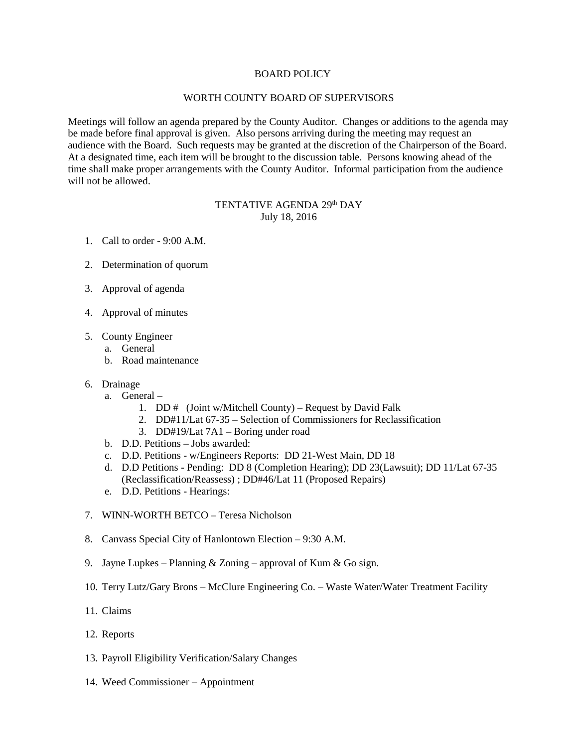### BOARD POLICY

### WORTH COUNTY BOARD OF SUPERVISORS

Meetings will follow an agenda prepared by the County Auditor. Changes or additions to the agenda may be made before final approval is given. Also persons arriving during the meeting may request an audience with the Board. Such requests may be granted at the discretion of the Chairperson of the Board. At a designated time, each item will be brought to the discussion table. Persons knowing ahead of the time shall make proper arrangements with the County Auditor. Informal participation from the audience will not be allowed.

# TENTATIVE AGENDA 29th DAY July 18, 2016

- 1. Call to order 9:00 A.M.
- 2. Determination of quorum
- 3. Approval of agenda
- 4. Approval of minutes
- 5. County Engineer
	- a. General
	- b. Road maintenance
- 6. Drainage
	- a. General
		- 1. DD # (Joint w/Mitchell County) Request by David Falk
		- 2. DD#11/Lat 67-35 Selection of Commissioners for Reclassification
		- 3. DD#19/Lat 7A1 Boring under road
	- b. D.D. Petitions Jobs awarded:
	- c. D.D. Petitions w/Engineers Reports: DD 21-West Main, DD 18
	- d. D.D Petitions Pending: DD 8 (Completion Hearing); DD 23(Lawsuit); DD 11/Lat 67-35 (Reclassification/Reassess) ; DD#46/Lat 11 (Proposed Repairs)
	- e. D.D. Petitions Hearings:
- 7. WINN-WORTH BETCO Teresa Nicholson
- 8. Canvass Special City of Hanlontown Election 9:30 A.M.
- 9. Jayne Lupkes Planning  $& Zoning$  approval of Kum  $& Go$  sign.
- 10. Terry Lutz/Gary Brons McClure Engineering Co. Waste Water/Water Treatment Facility
- 11. Claims
- 12. Reports
- 13. Payroll Eligibility Verification/Salary Changes
- 14. Weed Commissioner Appointment